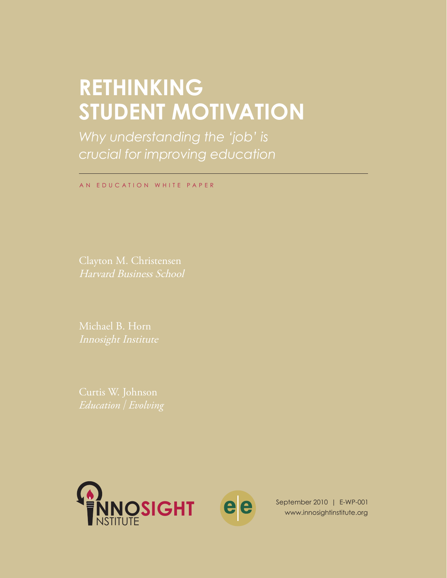# **RETHINKING STUDENT MOTIVATION**

*Why understanding the 'job' is crucial for improving education*

AN EDUCATION WHITE PAPER

Harvard Business School

Michael B. Horn





www.innosightinstitute.org September 2010 | E-WP-001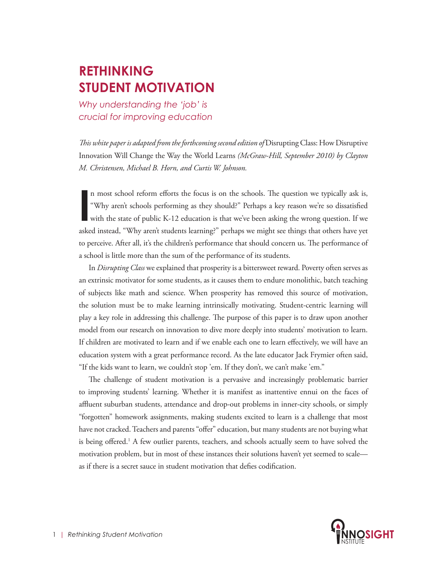# **RETHINKING STUDENT MOTIVATION**

*Why understanding the 'job' is crucial for improving education*

*This white paper is adapted from the forthcoming second edition of* Disrupting Class: How Disruptive Innovation Will Change the Way the World Learns *(McGraw-Hill, September 2010) by Clayton M. Christensen, Michael B. Horn, and Curtis W. Johnson.*

**I** n most school reform efforts the focus is on the schools. The question we typically ask is, "Why aren't schools performing as they should?" Perhaps a key reason we're so dissatisfied with the state of public K-12 education is that we've been asking the wrong question. If we asked instead, "Why aren't students learning?" perhaps we might see things that others have yet to perceive. After all, it's the children's performance that should concern us. The performance of a school is little more than the sum of the performance of its students.

In *Disrupting Class* we explained that prosperity is a bittersweet reward. Poverty often serves as an extrinsic motivator for some students, as it causes them to endure monolithic, batch teaching of subjects like math and science. When prosperity has removed this source of motivation, the solution must be to make learning intrinsically motivating. Student-centric learning will play a key role in addressing this challenge. The purpose of this paper is to draw upon another model from our research on innovation to dive more deeply into students' motivation to learn. If children are motivated to learn and if we enable each one to learn effectively, we will have an education system with a great performance record. As the late educator Jack Frymier often said, "If the kids want to learn, we couldn't stop 'em. If they don't, we can't make 'em."

The challenge of student motivation is a pervasive and increasingly problematic barrier to improving students' learning. Whether it is manifest as inattentive ennui on the faces of affluent suburban students, attendance and drop-out problems in inner-city schools, or simply "forgotten" homework assignments, making students excited to learn is a challenge that most have not cracked. Teachers and parents "offer" education, but many students are not buying what is being offered.<sup>1</sup> A few outlier parents, teachers, and schools actually seem to have solved the motivation problem, but in most of these instances their solutions haven't yet seemed to scale as if there is a secret sauce in student motivation that defies codification.

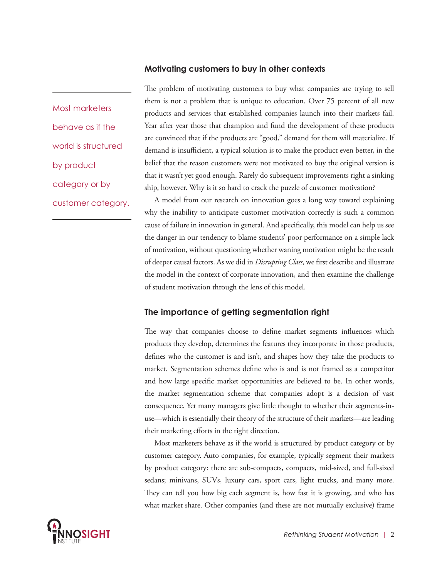## **Motivating customers to buy in other contexts**

Most marketers behave as if the world is structured by product category or by customer category. The problem of motivating customers to buy what companies are trying to sell them is not a problem that is unique to education. Over 75 percent of all new products and services that established companies launch into their markets fail. Year after year those that champion and fund the development of these products are convinced that if the products are "good," demand for them will materialize. If demand is insufficient, a typical solution is to make the product even better, in the belief that the reason customers were not motivated to buy the original version is that it wasn't yet good enough. Rarely do subsequent improvements right a sinking ship, however. Why is it so hard to crack the puzzle of customer motivation?

A model from our research on innovation goes a long way toward explaining why the inability to anticipate customer motivation correctly is such a common cause of failure in innovation in general. And specifically, this model can help us see the danger in our tendency to blame students' poor performance on a simple lack of motivation, without questioning whether waning motivation might be the result of deeper causal factors. As we did in *Disrupting Class,* we first describe and illustrate the model in the context of corporate innovation, and then examine the challenge of student motivation through the lens of this model.

# **The importance of getting segmentation right**

The way that companies choose to define market segments influences which products they develop, determines the features they incorporate in those products, defines who the customer is and isn't, and shapes how they take the products to market. Segmentation schemes define who is and is not framed as a competitor and how large specific market opportunities are believed to be. In other words, the market segmentation scheme that companies adopt is a decision of vast consequence. Yet many managers give little thought to whether their segments-inuse—which is essentially their theory of the structure of their markets—are leading their marketing efforts in the right direction.

Most marketers behave as if the world is structured by product category or by customer category. Auto companies, for example, typically segment their markets by product category: there are sub-compacts, compacts, mid-sized, and full-sized sedans; minivans, SUVs, luxury cars, sport cars, light trucks, and many more. They can tell you how big each segment is, how fast it is growing, and who has what market share. Other companies (and these are not mutually exclusive) frame

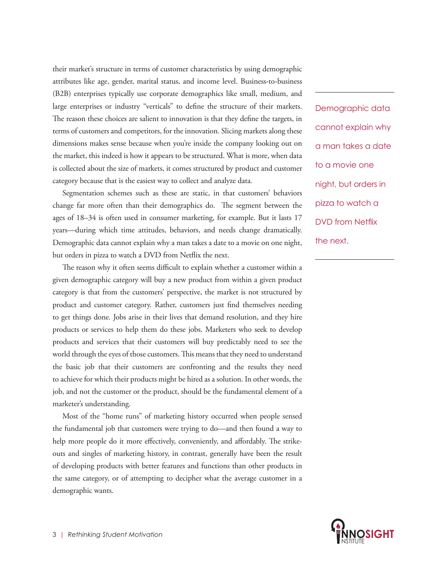their market's structure in terms of customer characteristics by using demographic attributes like age, gender, marital status, and income level. Business-to-business (B2B) enterprises typically use corporate demographics like small, medium, and large enterprises or industry "verticals" to define the structure of their markets. The reason these choices are salient to innovation is that they define the targets, in terms of customers and competitors, for the innovation. Slicing markets along these dimensions makes sense because when you're inside the company looking out on the market, this indeed is how it appears to be structured. What is more, when data is collected about the size of markets, it comes structured by product and customer category because that is the easiest way to collect and analyze data.

Segmentation schemes such as these are static, in that customers' behaviors change far more often than their demographics do. The segment between the ages of 18–34 is often used in consumer marketing, for example. But it lasts 17 years—during which time attitudes, behaviors, and needs change dramatically. Demographic data cannot explain why a man takes a date to a movie on one night, but orders in pizza to watch a DVD from Netflix the next.

The reason why it often seems difficult to explain whether a customer within a given demographic category will buy a new product from within a given product category is that from the customers' perspective, the market is not structured by product and customer category. Rather, customers just find themselves needing to get things done. Jobs arise in their lives that demand resolution, and they hire products or services to help them do these jobs. Marketers who seek to develop products and services that their customers will buy predictably need to see the world through the eyes of those customers. This means that they need to understand the basic job that their customers are confronting and the results they need to achieve for which their products might be hired as a solution. In other words, the job, and not the customer or the product, should be the fundamental element of a marketer's understanding.

Most of the "home runs" of marketing history occurred when people sensed the fundamental job that customers were trying to do—and then found a way to help more people do it more effectively, conveniently, and affordably. The strikeouts and singles of marketing history, in contrast, generally have been the result of developing products with better features and functions than other products in the same category, or of attempting to decipher what the average customer in a demographic wants.

Demographic data cannot explain why a man takes a date to a movie one night, but orders in pizza to watch a DVD from Netflix the next.

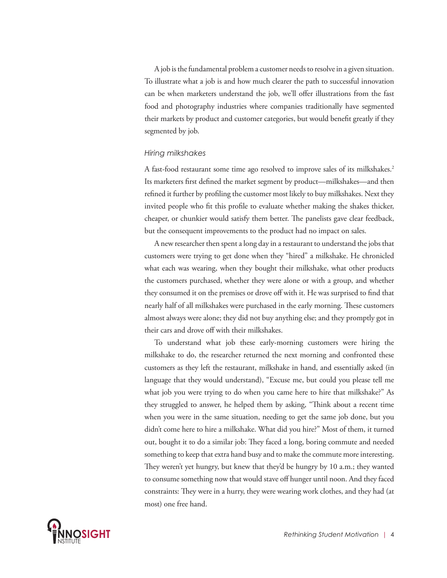A job is the fundamental problem a customer needs to resolve in a given situation. To illustrate what a job is and how much clearer the path to successful innovation can be when marketers understand the job, we'll offer illustrations from the fast food and photography industries where companies traditionally have segmented their markets by product and customer categories, but would benefit greatly if they segmented by job.

#### *Hiring milkshakes*

A fast-food restaurant some time ago resolved to improve sales of its milkshakes.<sup>2</sup> Its marketers first defined the market segment by product—milkshakes—and then refined it further by profiling the customer most likely to buy milkshakes. Next they invited people who fit this profile to evaluate whether making the shakes thicker, cheaper, or chunkier would satisfy them better. The panelists gave clear feedback, but the consequent improvements to the product had no impact on sales.

A new researcher then spent a long day in a restaurant to understand the jobs that customers were trying to get done when they "hired" a milkshake. He chronicled what each was wearing, when they bought their milkshake, what other products the customers purchased, whether they were alone or with a group, and whether they consumed it on the premises or drove off with it. He was surprised to find that nearly half of all milkshakes were purchased in the early morning. These customers almost always were alone; they did not buy anything else; and they promptly got in their cars and drove off with their milkshakes.

To understand what job these early-morning customers were hiring the milkshake to do, the researcher returned the next morning and confronted these customers as they left the restaurant, milkshake in hand, and essentially asked (in language that they would understand), "Excuse me, but could you please tell me what job you were trying to do when you came here to hire that milkshake?" As they struggled to answer, he helped them by asking, "Think about a recent time when you were in the same situation, needing to get the same job done, but you didn't come here to hire a milkshake. What did you hire?" Most of them, it turned out, bought it to do a similar job: They faced a long, boring commute and needed something to keep that extra hand busy and to make the commute more interesting. They weren't yet hungry, but knew that they'd be hungry by 10 a.m.; they wanted to consume something now that would stave off hunger until noon. And they faced constraints: They were in a hurry, they were wearing work clothes, and they had (at most) one free hand.

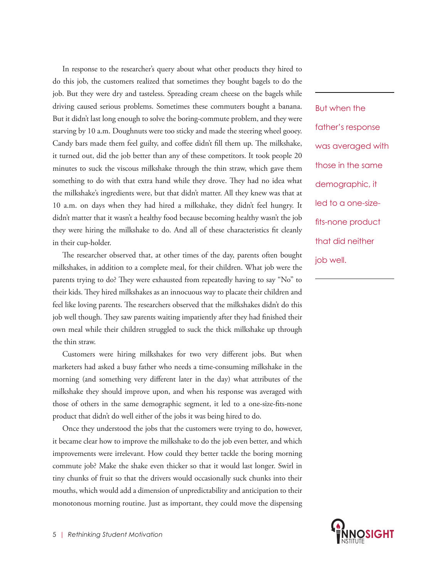In response to the researcher's query about what other products they hired to do this job, the customers realized that sometimes they bought bagels to do the job. But they were dry and tasteless. Spreading cream cheese on the bagels while driving caused serious problems. Sometimes these commuters bought a banana. But it didn't last long enough to solve the boring-commute problem, and they were starving by 10 a.m. Doughnuts were too sticky and made the steering wheel gooey. Candy bars made them feel guilty, and coffee didn't fill them up. The milkshake, it turned out, did the job better than any of these competitors. It took people 20 minutes to suck the viscous milkshake through the thin straw, which gave them something to do with that extra hand while they drove. They had no idea what the milkshake's ingredients were, but that didn't matter. All they knew was that at 10 a.m. on days when they had hired a milkshake, they didn't feel hungry. It didn't matter that it wasn't a healthy food because becoming healthy wasn't the job they were hiring the milkshake to do. And all of these characteristics fit cleanly in their cup-holder.

The researcher observed that, at other times of the day, parents often bought milkshakes, in addition to a complete meal, for their children. What job were the parents trying to do? They were exhausted from repeatedly having to say "No" to their kids. They hired milkshakes as an innocuous way to placate their children and feel like loving parents. The researchers observed that the milkshakes didn't do this job well though. They saw parents waiting impatiently after they had finished their own meal while their children struggled to suck the thick milkshake up through the thin straw.

Customers were hiring milkshakes for two very different jobs. But when marketers had asked a busy father who needs a time-consuming milkshake in the morning (and something very different later in the day) what attributes of the milkshake they should improve upon, and when his response was averaged with those of others in the same demographic segment, it led to a one-size-fits-none product that didn't do well either of the jobs it was being hired to do.

Once they understood the jobs that the customers were trying to do, however, it became clear how to improve the milkshake to do the job even better, and which improvements were irrelevant. How could they better tackle the boring morning commute job? Make the shake even thicker so that it would last longer. Swirl in tiny chunks of fruit so that the drivers would occasionally suck chunks into their mouths, which would add a dimension of unpredictability and anticipation to their monotonous morning routine. Just as important, they could move the dispensing

But when the father's response was averaged with those in the same demographic, it led to a one-sizefits-none product that did neither job well.

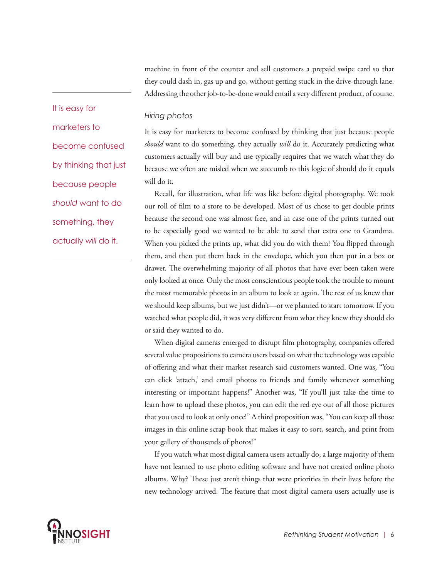machine in front of the counter and sell customers a prepaid swipe card so that they could dash in, gas up and go, without getting stuck in the drive-through lane. Addressing the other job-to-be-done would entail a very different product, of course.

#### *Hiring photos*

It is easy for marketers to become confused by thinking that just because people *should* want to do something, they actually *will* do it. Accurately predicting what customers actually will buy and use typically requires that we watch what they do because we often are misled when we succumb to this logic of should do it equals will do it.

Recall, for illustration, what life was like before digital photography. We took our roll of film to a store to be developed. Most of us chose to get double prints because the second one was almost free, and in case one of the prints turned out to be especially good we wanted to be able to send that extra one to Grandma. When you picked the prints up, what did you do with them? You flipped through them, and then put them back in the envelope, which you then put in a box or drawer. The overwhelming majority of all photos that have ever been taken were only looked at once. Only the most conscientious people took the trouble to mount the most memorable photos in an album to look at again. The rest of us knew that we should keep albums, but we just didn't—or we planned to start tomorrow. If you watched what people did, it was very different from what they knew they should do or said they wanted to do.

When digital cameras emerged to disrupt film photography, companies offered several value propositions to camera users based on what the technology was capable of offering and what their market research said customers wanted. One was, "You can click 'attach,' and email photos to friends and family whenever something interesting or important happens!" Another was, "If you'll just take the time to learn how to upload these photos, you can edit the red eye out of all those pictures that you used to look at only once!" A third proposition was, "You can keep all those images in this online scrap book that makes it easy to sort, search, and print from your gallery of thousands of photos!"

If you watch what most digital camera users actually do, a large majority of them have not learned to use photo editing software and have not created online photo albums. Why? These just aren't things that were priorities in their lives before the new technology arrived. The feature that most digital camera users actually use is



It is easy for marketers to become confused by thinking that just because people *should* want to do something, they actually *will* do it.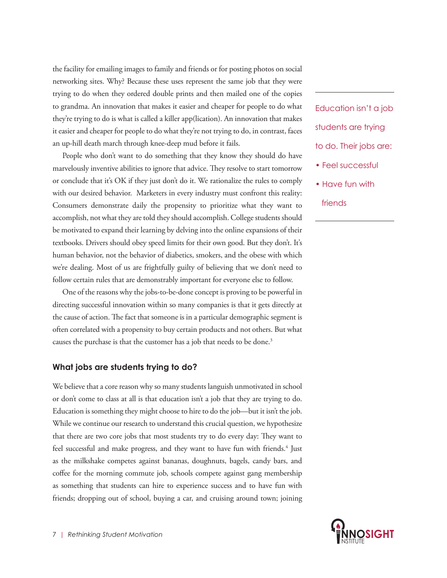the facility for emailing images to family and friends or for posting photos on social networking sites. Why? Because these uses represent the same job that they were trying to do when they ordered double prints and then mailed one of the copies to grandma. An innovation that makes it easier and cheaper for people to do what they're trying to do is what is called a killer app(lication). An innovation that makes it easier and cheaper for people to do what they're not trying to do, in contrast, faces an up-hill death march through knee-deep mud before it fails.

People who don't want to do something that they know they should do have marvelously inventive abilities to ignore that advice. They resolve to start tomorrow or conclude that it's OK if they just don't do it. We rationalize the rules to comply with our desired behavior. Marketers in every industry must confront this reality: Consumers demonstrate daily the propensity to prioritize what they want to accomplish, not what they are told they should accomplish. College students should be motivated to expand their learning by delving into the online expansions of their textbooks. Drivers should obey speed limits for their own good. But they don't. It's human behavior, not the behavior of diabetics, smokers, and the obese with which we're dealing. Most of us are frightfully guilty of believing that we don't need to follow certain rules that are demonstrably important for everyone else to follow.

One of the reasons why the jobs-to-be-done concept is proving to be powerful in directing successful innovation within so many companies is that it gets directly at the cause of action. The fact that someone is in a particular demographic segment is often correlated with a propensity to buy certain products and not others. But what causes the purchase is that the customer has a job that needs to be done.<sup>3</sup>

## **What jobs are students trying to do?**

We believe that a core reason why so many students languish unmotivated in school or don't come to class at all is that education isn't a job that they are trying to do. Education is something they might choose to hire to do the job—but it isn't the job. While we continue our research to understand this crucial question, we hypothesize that there are two core jobs that most students try to do every day: They want to feel successful and make progress, and they want to have fun with friends.<sup>4</sup> Just as the milkshake competes against bananas, doughnuts, bagels, candy bars, and coffee for the morning commute job, schools compete against gang membership as something that students can hire to experience success and to have fun with friends; dropping out of school, buying a car, and cruising around town; joining

Education isn't a job students are trying to do. Their jobs are:

- Feel successful
- Have fun with friends

NSTITUTE **NNOSIGHT**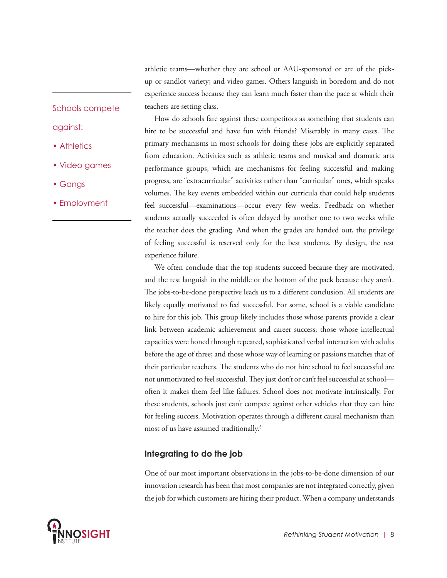athletic teams—whether they are school or AAU-sponsored or are of the pickup or sandlot variety; and video games. Others languish in boredom and do not experience success because they can learn much faster than the pace at which their teachers are setting class.

## Schools compete

#### against:

- Athletics
- Video games
- Gangs
- Employment

How do schools fare against these competitors as something that students can hire to be successful and have fun with friends? Miserably in many cases. The primary mechanisms in most schools for doing these jobs are explicitly separated from education. Activities such as athletic teams and musical and dramatic arts performance groups, which are mechanisms for feeling successful and making progress, are "extracurricular" activities rather than "curricular" ones, which speaks volumes. The key events embedded within our curricula that could help students feel successful—examinations—occur every few weeks. Feedback on whether students actually succeeded is often delayed by another one to two weeks while the teacher does the grading. And when the grades are handed out, the privilege of feeling successful is reserved only for the best students. By design, the rest experience failure.

We often conclude that the top students succeed because they are motivated, and the rest languish in the middle or the bottom of the pack because they aren't. The jobs-to-be-done perspective leads us to a different conclusion. All students are likely equally motivated to feel successful. For some, school is a viable candidate to hire for this job. This group likely includes those whose parents provide a clear link between academic achievement and career success; those whose intellectual capacities were honed through repeated, sophisticated verbal interaction with adults before the age of three; and those whose way of learning or passions matches that of their particular teachers. The students who do not hire school to feel successful are not unmotivated to feel successful. They just don't or can't feel successful at school often it makes them feel like failures. School does not motivate intrinsically. For these students, schools just can't compete against other vehicles that they can hire for feeling success. Motivation operates through a different causal mechanism than most of us have assumed traditionally.5

# **Integrating to do the job**

One of our most important observations in the jobs-to-be-done dimension of our innovation research has been that most companies are not integrated correctly, given the job for which customers are hiring their product. When a company understands

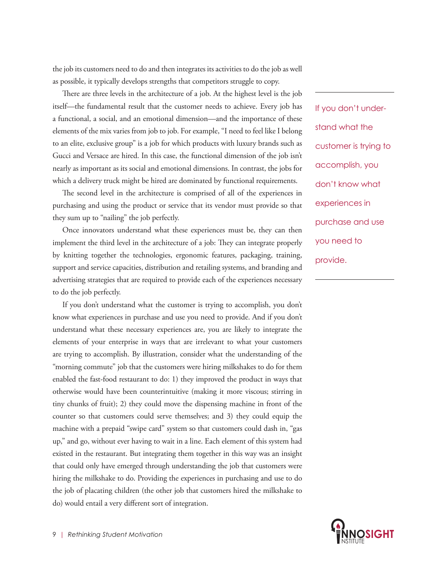the job its customers need to do and then integrates its activities to do the job as well as possible, it typically develops strengths that competitors struggle to copy.

There are three levels in the architecture of a job. At the highest level is the job itself—the fundamental result that the customer needs to achieve. Every job has a functional, a social, and an emotional dimension—and the importance of these elements of the mix varies from job to job. For example, "I need to feel like I belong to an elite, exclusive group" is a job for which products with luxury brands such as Gucci and Versace are hired. In this case, the functional dimension of the job isn't nearly as important as its social and emotional dimensions. In contrast, the jobs for which a delivery truck might be hired are dominated by functional requirements.

The second level in the architecture is comprised of all of the experiences in purchasing and using the product or service that its vendor must provide so that they sum up to "nailing" the job perfectly.

Once innovators understand what these experiences must be, they can then implement the third level in the architecture of a job: They can integrate properly by knitting together the technologies, ergonomic features, packaging, training, support and service capacities, distribution and retailing systems, and branding and advertising strategies that are required to provide each of the experiences necessary to do the job perfectly.

If you don't understand what the customer is trying to accomplish, you don't know what experiences in purchase and use you need to provide. And if you don't understand what these necessary experiences are, you are likely to integrate the elements of your enterprise in ways that are irrelevant to what your customers are trying to accomplish. By illustration, consider what the understanding of the "morning commute" job that the customers were hiring milkshakes to do for them enabled the fast-food restaurant to do: 1) they improved the product in ways that otherwise would have been counterintuitive (making it more viscous; stirring in tiny chunks of fruit); 2) they could move the dispensing machine in front of the counter so that customers could serve themselves; and 3) they could equip the machine with a prepaid "swipe card" system so that customers could dash in, "gas up," and go, without ever having to wait in a line. Each element of this system had existed in the restaurant. But integrating them together in this way was an insight that could only have emerged through understanding the job that customers were hiring the milkshake to do. Providing the experiences in purchasing and use to do the job of placating children (the other job that customers hired the milkshake to do) would entail a very different sort of integration.

If you don't understand what the customer is trying to accomplish, you don't know what experiences in purchase and use you need to provide.

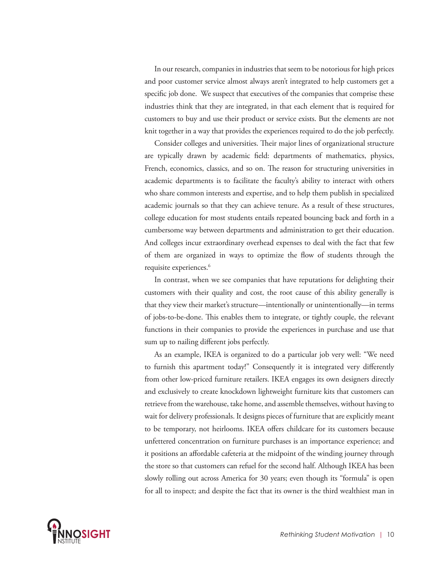In our research, companies in industries that seem to be notorious for high prices and poor customer service almost always aren't integrated to help customers get a specific job done. We suspect that executives of the companies that comprise these industries think that they are integrated, in that each element that is required for customers to buy and use their product or service exists. But the elements are not knit together in a way that provides the experiences required to do the job perfectly.

Consider colleges and universities. Their major lines of organizational structure are typically drawn by academic field: departments of mathematics, physics, French, economics, classics, and so on. The reason for structuring universities in academic departments is to facilitate the faculty's ability to interact with others who share common interests and expertise, and to help them publish in specialized academic journals so that they can achieve tenure. As a result of these structures, college education for most students entails repeated bouncing back and forth in a cumbersome way between departments and administration to get their education. And colleges incur extraordinary overhead expenses to deal with the fact that few of them are organized in ways to optimize the flow of students through the requisite experiences.<sup>6</sup>

In contrast, when we see companies that have reputations for delighting their customers with their quality and cost, the root cause of this ability generally is that they view their market's structure—intentionally or unintentionally—in terms of jobs-to-be-done. This enables them to integrate, or tightly couple, the relevant functions in their companies to provide the experiences in purchase and use that sum up to nailing different jobs perfectly.

As an example, IKEA is organized to do a particular job very well: "We need to furnish this apartment today!" Consequently it is integrated very differently from other low-priced furniture retailers. IKEA engages its own designers directly and exclusively to create knockdown lightweight furniture kits that customers can retrieve from the warehouse, take home, and assemble themselves, without having to wait for delivery professionals. It designs pieces of furniture that are explicitly meant to be temporary, not heirlooms. IKEA offers childcare for its customers because unfettered concentration on furniture purchases is an importance experience; and it positions an affordable cafeteria at the midpoint of the winding journey through the store so that customers can refuel for the second half. Although IKEA has been slowly rolling out across America for 30 years; even though its "formula" is open for all to inspect; and despite the fact that its owner is the third wealthiest man in

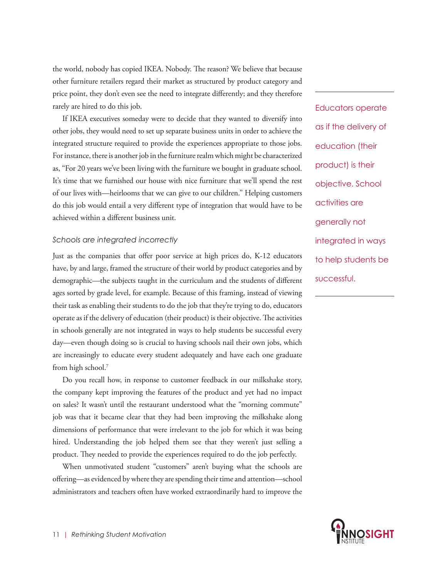the world, nobody has copied IKEA. Nobody. The reason? We believe that because other furniture retailers regard their market as structured by product category and price point, they don't even see the need to integrate differently; and they therefore rarely are hired to do this job.

If IKEA executives someday were to decide that they wanted to diversify into other jobs, they would need to set up separate business units in order to achieve the integrated structure required to provide the experiences appropriate to those jobs. For instance, there is another job in the furniture realm which might be characterized as, "For 20 years we've been living with the furniture we bought in graduate school. It's time that we furnished our house with nice furniture that we'll spend the rest of our lives with—heirlooms that we can give to our children." Helping customers do this job would entail a very different type of integration that would have to be achieved within a different business unit.

#### *Schools are integrated incorrectly*

Just as the companies that offer poor service at high prices do, K-12 educators have, by and large, framed the structure of their world by product categories and by demographic—the subjects taught in the curriculum and the students of different ages sorted by grade level, for example. Because of this framing, instead of viewing their task as enabling their students to do the job that they're trying to do, educators operate as if the delivery of education (their product) is their objective. The activities in schools generally are not integrated in ways to help students be successful every day—even though doing so is crucial to having schools nail their own jobs, which are increasingly to educate every student adequately and have each one graduate from high school.7

Do you recall how, in response to customer feedback in our milkshake story, the company kept improving the features of the product and yet had no impact on sales? It wasn't until the restaurant understood what the "morning commute" job was that it became clear that they had been improving the milkshake along dimensions of performance that were irrelevant to the job for which it was being hired. Understanding the job helped them see that they weren't just selling a product. They needed to provide the experiences required to do the job perfectly.

When unmotivated student "customers" aren't buying what the schools are offering—as evidenced by where they are spending their time and attention—school administrators and teachers often have worked extraordinarily hard to improve the

Educators operate as if the delivery of education (their product) is their objective. School activities are generally not integrated in ways to help students be successful.

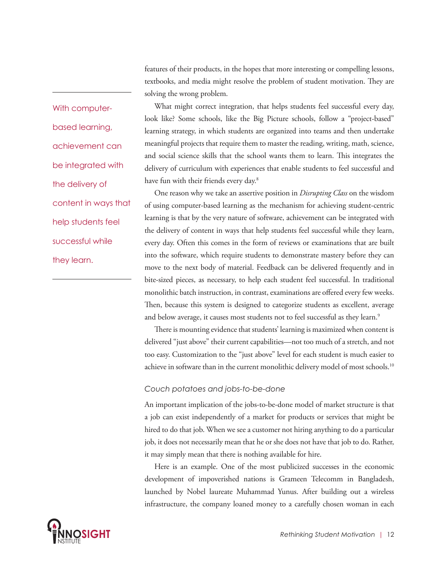features of their products, in the hopes that more interesting or compelling lessons, textbooks, and media might resolve the problem of student motivation. They are solving the wrong problem.

What might correct integration, that helps students feel successful every day, look like? Some schools, like the Big Picture schools, follow a "project-based" learning strategy, in which students are organized into teams and then undertake meaningful projects that require them to master the reading, writing, math, science, and social science skills that the school wants them to learn. This integrates the delivery of curriculum with experiences that enable students to feel successful and have fun with their friends every day.<sup>8</sup>

One reason why we take an assertive position in *Disrupting Class* on the wisdom of using computer-based learning as the mechanism for achieving student-centric learning is that by the very nature of software, achievement can be integrated with the delivery of content in ways that help students feel successful while they learn, every day. Often this comes in the form of reviews or examinations that are built into the software, which require students to demonstrate mastery before they can move to the next body of material. Feedback can be delivered frequently and in bite-sized pieces, as necessary, to help each student feel successful. In traditional monolithic batch instruction, in contrast, examinations are offered every few weeks. Then, because this system is designed to categorize students as excellent, average and below average, it causes most students not to feel successful as they learn.<sup>9</sup>

There is mounting evidence that students' learning is maximized when content is delivered "just above" their current capabilities—not too much of a stretch, and not too easy. Customization to the "just above" level for each student is much easier to achieve in software than in the current monolithic delivery model of most schools.<sup>10</sup>

#### *Couch potatoes and jobs-to-be-done*

An important implication of the jobs-to-be-done model of market structure is that a job can exist independently of a market for products or services that might be hired to do that job. When we see a customer not hiring anything to do a particular job, it does not necessarily mean that he or she does not have that job to do. Rather, it may simply mean that there is nothing available for hire.

Here is an example. One of the most publicized successes in the economic development of impoverished nations is Grameen Telecomm in Bangladesh, launched by Nobel laureate Muhammad Yunus. After building out a wireless infrastructure, the company loaned money to a carefully chosen woman in each



With computerbased learning, achievement can be integrated with the delivery of content in ways that help students feel successful while they learn.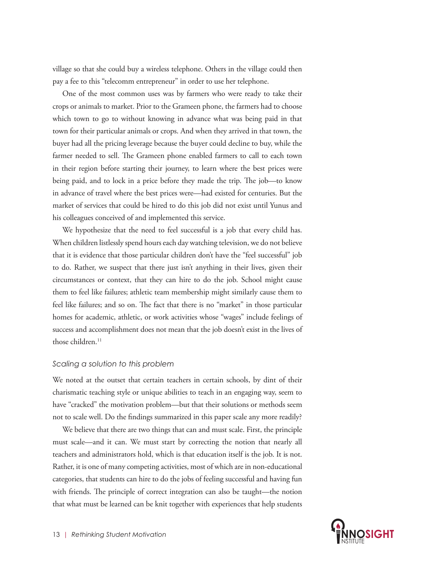village so that she could buy a wireless telephone. Others in the village could then pay a fee to this "telecomm entrepreneur" in order to use her telephone.

One of the most common uses was by farmers who were ready to take their crops or animals to market. Prior to the Grameen phone, the farmers had to choose which town to go to without knowing in advance what was being paid in that town for their particular animals or crops. And when they arrived in that town, the buyer had all the pricing leverage because the buyer could decline to buy, while the farmer needed to sell. The Grameen phone enabled farmers to call to each town in their region before starting their journey, to learn where the best prices were being paid, and to lock in a price before they made the trip. The job—to know in advance of travel where the best prices were—had existed for centuries. But the market of services that could be hired to do this job did not exist until Yunus and his colleagues conceived of and implemented this service.

We hypothesize that the need to feel successful is a job that every child has. When children listlessly spend hours each day watching television, we do not believe that it is evidence that those particular children don't have the "feel successful" job to do. Rather, we suspect that there just isn't anything in their lives, given their circumstances or context, that they can hire to do the job. School might cause them to feel like failures; athletic team membership might similarly cause them to feel like failures; and so on. The fact that there is no "market" in those particular homes for academic, athletic, or work activities whose "wages" include feelings of success and accomplishment does not mean that the job doesn't exist in the lives of those children.<sup>11</sup>

#### *Scaling a solution to this problem*

We noted at the outset that certain teachers in certain schools, by dint of their charismatic teaching style or unique abilities to teach in an engaging way, seem to have "cracked" the motivation problem—but that their solutions or methods seem not to scale well. Do the findings summarized in this paper scale any more readily?

We believe that there are two things that can and must scale. First, the principle must scale—and it can. We must start by correcting the notion that nearly all teachers and administrators hold, which is that education itself is the job. It is not. Rather, it is one of many competing activities, most of which are in non-educational categories, that students can hire to do the jobs of feeling successful and having fun with friends. The principle of correct integration can also be taught—the notion that what must be learned can be knit together with experiences that help students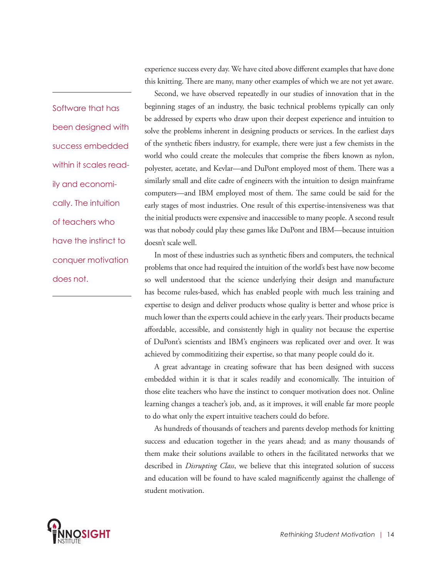experience success every day. We have cited above different examples that have done this knitting. There are many, many other examples of which we are not yet aware.

Software that has been designed with success embedded within it scales readily and economically. The intuition of teachers who have the instinct to conquer motivation does not.

Second, we have observed repeatedly in our studies of innovation that in the beginning stages of an industry, the basic technical problems typically can only be addressed by experts who draw upon their deepest experience and intuition to solve the problems inherent in designing products or services. In the earliest days of the synthetic fibers industry, for example, there were just a few chemists in the world who could create the molecules that comprise the fibers known as nylon, polyester, acetate, and Kevlar—and DuPont employed most of them. There was a similarly small and elite cadre of engineers with the intuition to design mainframe computers—and IBM employed most of them. The same could be said for the early stages of most industries. One result of this expertise-intensiveness was that the initial products were expensive and inaccessible to many people. A second result was that nobody could play these games like DuPont and IBM—because intuition doesn't scale well.

In most of these industries such as synthetic fibers and computers, the technical problems that once had required the intuition of the world's best have now become so well understood that the science underlying their design and manufacture has become rules-based, which has enabled people with much less training and expertise to design and deliver products whose quality is better and whose price is much lower than the experts could achieve in the early years. Their products became affordable, accessible, and consistently high in quality not because the expertise of DuPont's scientists and IBM's engineers was replicated over and over. It was achieved by commoditizing their expertise, so that many people could do it.

A great advantage in creating software that has been designed with success embedded within it is that it scales readily and economically. The intuition of those elite teachers who have the instinct to conquer motivation does not. Online learning changes a teacher's job, and, as it improves, it will enable far more people to do what only the expert intuitive teachers could do before.

As hundreds of thousands of teachers and parents develop methods for knitting success and education together in the years ahead; and as many thousands of them make their solutions available to others in the facilitated networks that we described in *Disrupting Class*, we believe that this integrated solution of success and education will be found to have scaled magnificently against the challenge of student motivation.

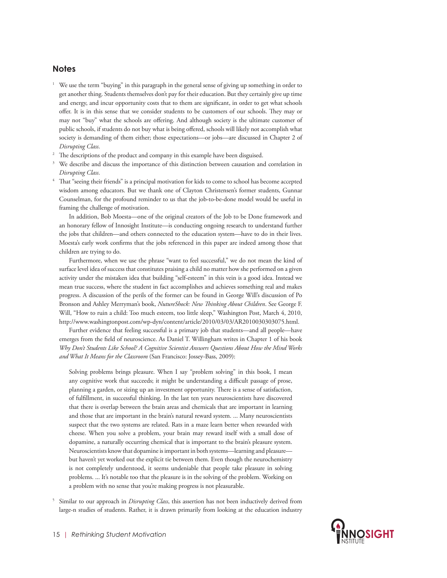#### **Notes**

- <sup>1</sup> We use the term "buying" in this paragraph in the general sense of giving up something in order to get another thing. Students themselves don't pay for their education. But they certainly give up time and energy, and incur opportunity costs that to them are significant, in order to get what schools offer. It is in this sense that we consider students to be customers of our schools. They may or may not "buy" what the schools are offering. And although society is the ultimate customer of public schools, if students do not buy what is being offered, schools will likely not accomplish what society is demanding of them either; those expectations—or jobs—are discussed in Chapter 2 of *Disrupting Class*.
- The descriptions of the product and company in this example have been disguised.
- We describe and discuss the importance of this distinction between causation and correlation in *Disrupting Class*.
- <sup>4</sup> That "seeing their friends" is a principal motivation for kids to come to school has become accepted wisdom among educators. But we thank one of Clayton Christensen's former students, Gunnar Counselman, for the profound reminder to us that the job-to-be-done model would be useful in framing the challenge of motivation.

In addition, Bob Moesta—one of the original creators of the Job to be Done framework and an honorary fellow of Innosight Institute—is conducting ongoing research to understand further the jobs that children—and others connected to the education system—have to do in their lives. Moesta's early work confirms that the jobs referenced in this paper are indeed among those that children are trying to do.

Furthermore, when we use the phrase "want to feel successful," we do not mean the kind of surface level idea of success that constitutes praising a child no matter how she performed on a given activity under the mistaken idea that building "self-esteem" in this vein is a good idea. Instead we mean true success, where the student in fact accomplishes and achieves something real and makes progress. A discussion of the perils of the former can be found in George Will's discussion of Po Bronson and Ashley Merryman's book, *NutureShock: New Thinking About Children*. See George F. Will, "How to ruin a child: Too much esteem, too little sleep," Washington Post, March 4, 2010, http://www.washingtonpost.com/wp-dyn/content/article/2010/03/03/AR2010030303075.html.

Further evidence that feeling successful is a primary job that students—and all people—have emerges from the field of neuroscience. As Daniel T. Willingham writes in Chapter 1 of his book *Why Don't Students Like School? A Cognitive Scientist Answers Questions About How the Mind Works and What It Means for the Classroom* (San Francisco: Jossey-Bass, 2009):

Solving problems brings pleasure. When I say "problem solving" in this book, I mean any cognitive work that succeeds; it might be understanding a difficult passage of prose, planning a garden, or sizing up an investment opportunity. There is a sense of satisfaction, of fulfillment, in successful thinking. In the last ten years neuroscientists have discovered that there is overlap between the brain areas and chemicals that are important in learning and those that are important in the brain's natural reward system. ... Many neuroscientists suspect that the two systems are related. Rats in a maze learn better when rewarded with cheese. When you solve a problem, your brain may reward itself with a small dose of dopamine, a naturally occurring chemical that is important to the brain's pleasure system. Neuroscientists know that dopamine is important in both systems—learning and pleasure but haven't yet worked out the explicit tie between them. Even though the neurochemistry is not completely understood, it seems undeniable that people take pleasure in solving problems. ... It's notable too that the pleasure is in the solving of the problem. Working on a problem with no sense that you're making progress is not pleasurable.

<sup>5</sup> Similar to our approach in *Disrupting Class*, this assertion has not been inductively derived from large-n studies of students. Rather, it is drawn primarily from looking at the education industry

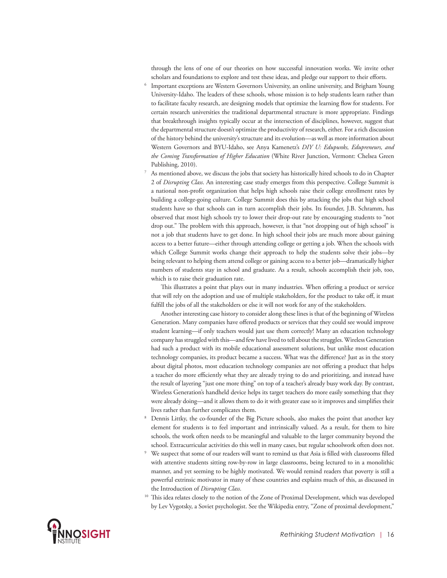through the lens of one of our theories on how successful innovation works. We invite other scholars and foundations to explore and test these ideas, and pledge our support to their efforts.

- <sup>6</sup> Important exceptions are Western Governors University, an online university, and Brigham Young University-Idaho. The leaders of these schools, whose mission is to help students learn rather than to facilitate faculty research, are designing models that optimize the learning flow for students. For certain research universities the traditional departmental structure is more appropriate. Findings that breakthrough insights typically occur at the intersection of disciplines, however, suggest that the departmental structure doesn't optimize the productivity of research, either. For a rich discussion of the history behind the university's structure and its evolution—as well as more information about Western Governors and BYU-Idaho, see Anya Kamenetz's *DIY U: Edupunks, Edupreneurs, and the Coming Transformation of Higher Education* (White River Junction, Vermont: Chelsea Green Publishing, 2010).
- As mentioned above, we discuss the jobs that society has historically hired schools to do in Chapter 2 of *Disrupting Class*. An interesting case study emerges from this perspective. College Summit is a national non-profit organization that helps high schools raise their college enrollment rates by building a college-going culture. College Summit does this by attacking the jobs that high school students have so that schools can in turn accomplish their jobs. Its founder, J.B. Schramm, has observed that most high schools try to lower their drop-out rate by encouraging students to "not drop out." The problem with this approach, however, is that "not dropping out of high school" is not a job that students have to get done. In high school their jobs are much more about gaining access to a better future—either through attending college or getting a job. When the schools with which College Summit works change their approach to help the students solve their jobs—by being relevant to helping them attend college or gaining access to a better job—dramatically higher numbers of students stay in school and graduate. As a result, schools accomplish their job, too, which is to raise their graduation rate.

This illustrates a point that plays out in many industries. When offering a product or service that will rely on the adoption and use of multiple stakeholders, for the product to take off, it must fulfill the jobs of all the stakeholders or else it will not work for any of the stakeholders.

Another interesting case history to consider along these lines is that of the beginning of Wireless Generation. Many companies have offered products or services that they could see would improve student learning—if only teachers would just use them correctly! Many an education technology company has struggled with this—and few have lived to tell about the struggles. Wireless Generation had such a product with its mobile educational assessment solutions, but unlike most education technology companies, its product became a success. What was the difference? Just as in the story about digital photos, most education technology companies are not offering a product that helps a teacher do more efficiently what they are already trying to do and prioritizing, and instead have the result of layering "just one more thing" on top of a teacher's already busy work day. By contrast, Wireless Generation's handheld device helps its target teachers do more easily something that they were already doing—and it allows them to do it with greater ease so it improves and simplifies their lives rather than further complicates them.

- <sup>8</sup> Dennis Littky, the co-founder of the Big Picture schools, also makes the point that another key element for students is to feel important and intrinsically valued. As a result, for them to hire schools, the work often needs to be meaningful and valuable to the larger community beyond the school. Extracurricular activities do this well in many cases, but regular schoolwork often does not.
- We suspect that some of our readers will want to remind us that Asia is filled with classrooms filled with attentive students sitting row-by-row in large classrooms, being lectured to in a monolithic manner, and yet seeming to be highly motivated. We would remind readers that poverty is still a powerful extrinsic motivator in many of these countries and explains much of this, as discussed in the Introduction of *Disrupting Class*.
- <sup>10</sup> This idea relates closely to the notion of the Zone of Proximal Development, which was developed by Lev Vygotsky, a Soviet psychologist. See the Wikipedia entry, "Zone of proximal development,"

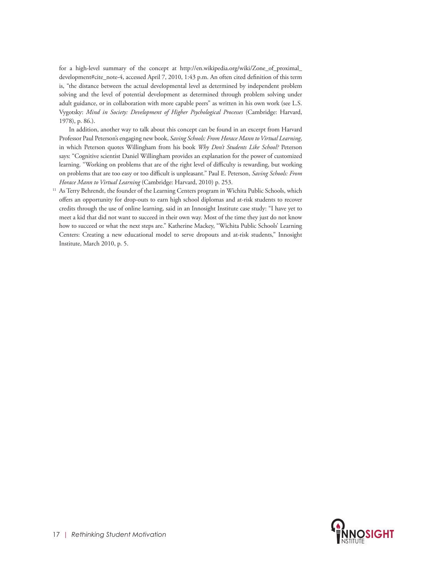for a high-level summary of the concept at http://en.wikipedia.org/wiki/Zone\_of\_proximal\_ development#cite\_note-4, accessed April 7, 2010, 1:43 p.m. An often cited definition of this term is, "the distance between the actual developmental level as determined by independent problem solving and the level of potential development as determined through problem solving under adult guidance, or in collaboration with more capable peers" as written in his own work (see L.S. Vygotsky: *Mind in Society: Development of Higher Psychological Processes* (Cambridge: Harvard, 1978), p. 86.).

In addition, another way to talk about this concept can be found in an excerpt from Harvard Professor Paul Peterson's engaging new book, *Saving Schools: From Horace Mann to Virtual Learning*, in which Peterson quotes Willingham from his book *Why Don't Students Like School?* Peterson says: "Cognitive scientist Daniel Willingham provides an explanation for the power of customized learning. "Working on problems that are of the right level of difficulty is rewarding, but working on problems that are too easy or too difficult is unpleasant." Paul E. Peterson, *Saving Schools: From Horace Mann to Virtual Learning* (Cambridge: Harvard, 2010) p. 253.

<sup>11</sup> As Terry Behrendt, the founder of the Learning Centers program in Wichita Public Schools, which offers an opportunity for drop-outs to earn high school diplomas and at-risk students to recover credits through the use of online learning, said in an Innosight Institute case study: "I have yet to meet a kid that did not want to succeed in their own way. Most of the time they just do not know how to succeed or what the next steps are." Katherine Mackey, "Wichita Public Schools' Learning Centers: Creating a new educational model to serve dropouts and at-risk students," Innosight Institute, March 2010, p. 5.

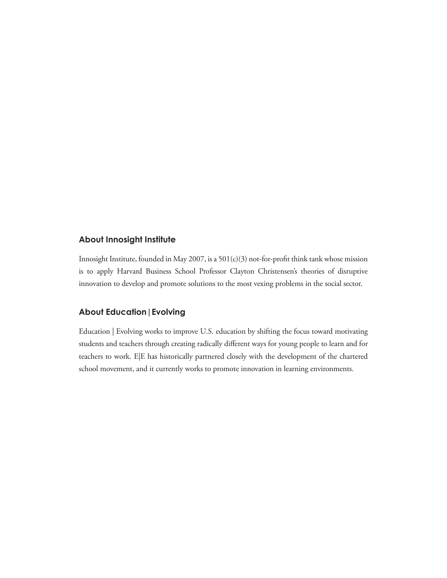# **About Innosight Institute**

Innosight Institute, founded in May 2007, is a 501(c)(3) not-for-profit think tank whose mission is to apply Harvard Business School Professor Clayton Christensen's theories of disruptive innovation to develop and promote solutions to the most vexing problems in the social sector.

# **About Education|Evolving**

Education | Evolving works to improve U.S. education by shifting the focus toward motivating students and teachers through creating radically different ways for young people to learn and for teachers to work. E|E has historically partnered closely with the development of the chartered school movement, and it currently works to promote innovation in learning environments.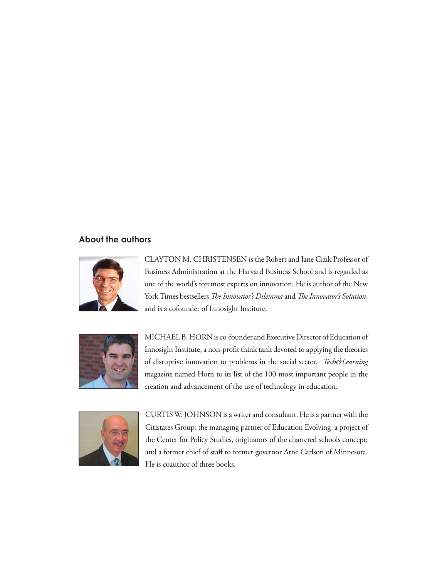# **About the authors**



CLAYTON M. CHRISTENSEN is the Robert and Jane Cizik Professor of Business Administration at the Harvard Business School and is regarded as one of the world's foremost experts on innovation. He is author of the New York Times bestsellers *The Innovator's Dilemma* and *The Innovator's Solution*, and is a cofounder of Innosight Institute.



MICHAEL B. HORN is co-founder and Executive Director of Education of Innosight Institute, a non-profit think tank devoted to applying the theories of disruptive innovation to problems in the social sector. Tech&Learning magazine named Horn to its list of the 100 most important people in the creation and advancement of the use of technology in education.



CURTIS W. JOHNSON is a writer and consultant. He is a partner with the Citistates Group; the managing partner of Education Evolving, a project of the Center for Policy Studies, originators of the chartered schools concept; and a former chief of staff to former governor Arne Carlson of Minnesota. He is coauthor of three books.